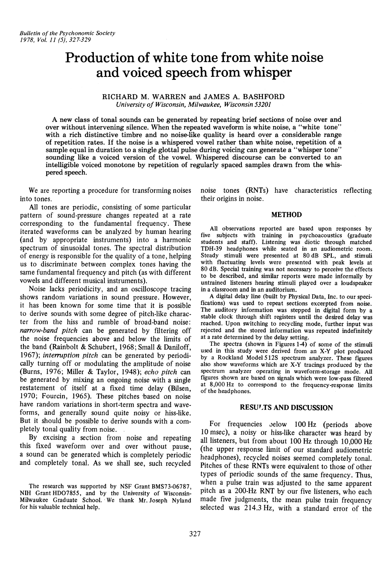# **Production of white tone from white noise and voiced speech from whisper**

# RICHARD M. WARREN and JAMES A. BASHFORD *University of Wisconsin, Milwaukee, Wisconsin 53201*

A new class of tonal sounds can be generated by repeating brief sections of noise over and over without intervening silence. When the repeated waveform is white noise, a "white tone" with a rich distinctive timbre and no noise-like quality is heard over a considerable range of repetition rates. If the noise is a whispered vowel rather than white noise. repetition of a sample equal in duration to a single glottal pulse during voicing can generate a "whisper tone" sounding like a voiced version of the voweL Whispered discourse can be converted to an intelligible voiced monotone by repetition of regularly spaced samples drawn from the whispered speech.

We are reporting a procedure for transforming noises into tones.

All tones are periodic, consisting of some particular pattern of sound-pressure changes repeated at a rate corresponding to the fundamental frequency. These iterated waveforms can be analyzed by human hearing (and by appropriate instruments) into a harmonic spectrum of sinusoidal tones. The spectral distribution of energy is responsible for the quality of a tone, helping us to discriminate between complex tones having the same fundamental frequency and pitch (as with different vowels and different musical instruments).

Noise lacks periodicity, and an oscilloscope tracing shows random variations in sound pressure. However, it has been known for some time that it is possible to derive sounds with some degree of pitch-like character from the hiss and rumble of broad·band noise: *narrow-band pitch* can be generated by filtering off the noise frequencies above and below the limits of the band (Rainbolt & Schubert, 1968; Small & Daniloff, 1967); *interruption pitch* can be generated by periodically turning off or modulating the amplitude of noise (Burns, 1976; Miller & Taylor, 1948); *echo pitch* can be generated by mixing an ongoing noise with a single restatement of itself at a fixed time delay (Bilsen, 1970; Fourcin, 1965). These pitches based on noise have random variations in short-term spectra and waveforms, and generally sound quite noisy or hiss·like. But it should be possible to derive sounds with a completely tonal quality from noise.

By excising a section from noise and repeating this fixed waveform over and over without pause, a sound can be generated which is completely periodic and completely tonal. As we shall see, such recycled

The research was supported by NSF Grant BMS73-06787, NIH Grant HD07855, and by the University of Wisconsin-Milwaukee Graduate School. We thank Mr. Joseph Nyland for his valuable technical help.

noise tones (RNTs) have characteristics reflecting their origins in noise.

### METHOD

All observations reported are based upon responses by five subjects with training in psychoacoustics (graduate students and staff). Listening was diotic through matched TDH-39 headphones while seated in an audiometric room. Steady stimuli were presented at 80 dB SPL, and stimuli with fluctuating levels were presented with peak levels at 80 dB. Special training was not necessary to perceive the effects to be described, and similar reports were made informally by untrained listeners hearing stimuli played over a loudspeaker in a classroom and in an auditorium.

A digital delay line (built by Physical Data, Inc. to our speci· fications) was used to repeat sections excerpted from noise. The auditory information was stepped in digital form by a stable clock through shift registers until the desired delay was reached. Upon switching to recycling mode, further input was rejected and the stored information was repeated indefinitely at a rate determined by the delay setting.

The spectra (shown in Figures 1-4) of some of the stimuli used in this study were derived from an X·Y plot produced by a Rockland Model 512S spectrum analyzer. These figures also show waveforms which are X-V tracings produced by the spectrum analyzer operating in waveform-storage mode. All figures shown are based on signals which were low-pass filtered at 8,000 Hz to correspond to the frequency-response limits of the headphones.

# RESULTS AND DISCUSSION

For frequencies below 100 Hz (periods above 10 msec), a noisy or hiss-like character was heard by all listeners, but from about 100 Hz through 10,000 Hz (the upper response limit of our standard audiometric headphones), recycled noises seemed completely tonal. Pitches of these RNTs were equivalent to those of other types of periodic sounds of the same frequency. Thus, when a pulse train was adjusted to the same apparent pitch as a 200-Hz RNT by our five listeners, who each made five judgments, the mean pulse train frequency selected was 214.3 Hz, with a standard error of the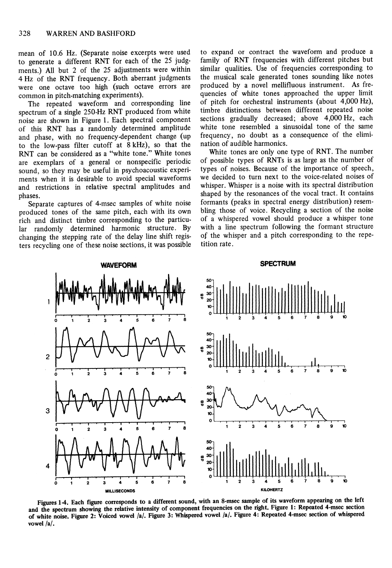mean of 10.6 Hz. (Separate noise excerpts were used to generate a different RNT for each of the 25 judgments.) All but 2 of the 25 adjustments were within 4 Hz of the RNT frequency. Both aberrant judgments were one octave too high (such octave errors are common in pitch-matching experiments).

The repeated waveform and corresponding line spectrum of a single 250-Hz RNT produced from white noise are shown in Figure 1. Each spectral component of this RNT has a randomly determined amplitude and phase, with no frequency-dependent change (up to the low-pass filter cutoff at 8 kHz), so that the RNT can be considered as a "white tone." White tones are exemplars of a general or nonspecific periodic sound, so they may be useful in psychoacoustic experiments when it is desirable to avoid special waveforms and restrictions in relative spectral amplitudes and phases.

Separate captures of 4-msec samples of white noise produced tones of the same pitch, each with its own rich and distinct timbre corresponding to the particular randomly determined harmonic structure. By changing the stepping rate of the delay line shift registers recycling one of these noise sections, it was possible to expand or contract the waveform and produce a family of RNT frequencies with different pitches but similar qualities. Use of frequencies corresponding to the musical scale generated tones sounding like notes produced by a novel mellifluous instrument. As frequencies of white tones approached the upper limit of pitch for orchestral instruments (about 4,000 Hz), timbre distinctions between different repeated noise sections gradually decreased; above 4,000 Hz, each white tone resembled a sinusoidal tone of the same frequency, no doubt as a consequence of the elimination of audible harmonics.

White tones are only one type of RNT. The number of possible types of RNTs is as large as the number of types of noises. Because of the importance of speech, we decided to turn next to the voice-related noises of whisper. Whisper is a noise with its spectral distribution shaped by the resonances of the vocal tract. It contains formants (peaks in spectral energy distribution) resembling those of voice. Recycling a section of the noise of a whispered vowel should produce a whisper tone with a line spectrum following the formant structure of the whisper and a pitch corresponding to the repetition rate.



Figures 1-4. Each figure corresponds to a different sound, with an 8-msec sample of its waveform appearing on the left and the spectrum showing the relative intensity of component frequencies on the right. Figure 1: Repeated 4-msec section of white noise. Figure 2: Voiced vowel /a/. Figure 3: Whispered vowel /a/. Figure 4: Repeated 4-msec section of whispered vowel/a/.